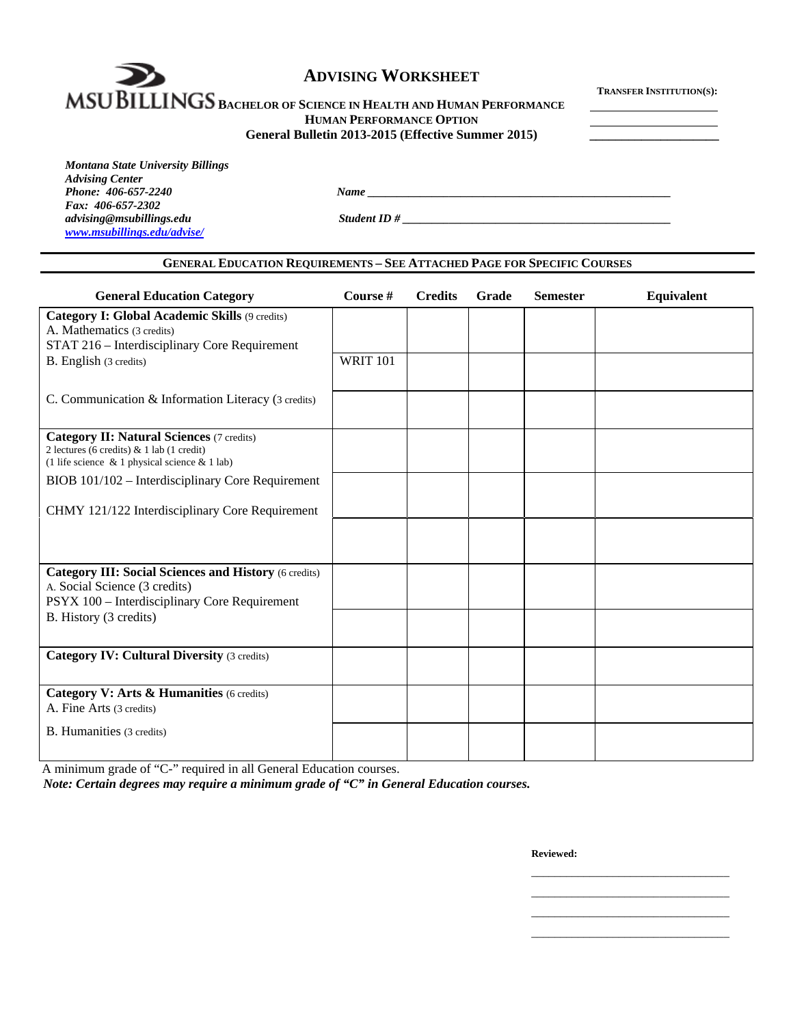

**IMSU DI LLINGS BACHELOR OF SCIENCE IN HEALTH AND HUMAN PERFORMANCE HUMAN PERFORMANCE OPTION**

| General Bulletin 2013-2015 (Effective Summer 2015) |  |
|----------------------------------------------------|--|
|----------------------------------------------------|--|

*Phone <u>2067-2240 Mame</u> 2067-2240 Mame 2067-2240 Mame</u> 2067-2240 Mame 2067-2240 Mame 2068* 

| Montana State University Billings |
|-----------------------------------|
| <b>Advising Center</b>            |
| Phone: 406-657-2240               |
| Fax: 406-657-2302                 |
| advising@msubillings.edu          |
| www.msubillings.edu/advise/       |

*advising@msubillings.edu Student ID # \_\_\_\_\_\_\_\_\_\_\_\_\_\_\_\_\_\_\_\_\_\_\_\_\_\_\_\_\_\_\_\_\_\_\_\_\_\_\_\_\_\_\_\_\_\_* 

# **GENERAL EDUCATION REQUIREMENTS – SEE ATTACHED PAGE FOR SPECIFIC COURSES**

| <b>General Education Category</b>                                                                | Course #        | <b>Credits</b> | Grade | <b>Semester</b> | Equivalent |
|--------------------------------------------------------------------------------------------------|-----------------|----------------|-------|-----------------|------------|
| Category I: Global Academic Skills (9 credits)                                                   |                 |                |       |                 |            |
| A. Mathematics (3 credits)                                                                       |                 |                |       |                 |            |
| STAT 216 - Interdisciplinary Core Requirement                                                    |                 |                |       |                 |            |
| B. English (3 credits)                                                                           | <b>WRIT 101</b> |                |       |                 |            |
|                                                                                                  |                 |                |       |                 |            |
| C. Communication & Information Literacy (3 credits)                                              |                 |                |       |                 |            |
| <b>Category II: Natural Sciences (7 credits)</b>                                                 |                 |                |       |                 |            |
| 2 lectures (6 credits) & 1 lab (1 credit)<br>(1 life science $\&$ 1 physical science $\&$ 1 lab) |                 |                |       |                 |            |
| BIOB 101/102 - Interdisciplinary Core Requirement                                                |                 |                |       |                 |            |
| CHMY 121/122 Interdisciplinary Core Requirement                                                  |                 |                |       |                 |            |
|                                                                                                  |                 |                |       |                 |            |
|                                                                                                  |                 |                |       |                 |            |
|                                                                                                  |                 |                |       |                 |            |
| <b>Category III: Social Sciences and History (6 credits)</b>                                     |                 |                |       |                 |            |
| A. Social Science (3 credits)                                                                    |                 |                |       |                 |            |
| PSYX 100 - Interdisciplinary Core Requirement                                                    |                 |                |       |                 |            |
| B. History (3 credits)                                                                           |                 |                |       |                 |            |
|                                                                                                  |                 |                |       |                 |            |
| <b>Category IV: Cultural Diversity (3 credits)</b>                                               |                 |                |       |                 |            |
|                                                                                                  |                 |                |       |                 |            |
| Category V: Arts & Humanities (6 credits)                                                        |                 |                |       |                 |            |
| A. Fine Arts (3 credits)                                                                         |                 |                |       |                 |            |
| B. Humanities (3 credits)                                                                        |                 |                |       |                 |            |
|                                                                                                  |                 |                |       |                 |            |

 $\mathcal{L}_\mathcal{L}$  , which is a set of the set of the set of the set of the set of the set of the set of the set of the set of the set of the set of the set of the set of the set of the set of the set of the set of the set of  $\mathcal{L}_\text{max}$  , and the contract of the contract of the contract of the contract of the contract of the contract of the contract of the contract of the contract of the contract of the contract of the contract of the contr  $\mathcal{L}_\mathcal{L}$  , which is a set of the set of the set of the set of the set of the set of the set of the set of the set of the set of the set of the set of the set of the set of the set of the set of the set of the set of  $\mathcal{L}_\mathcal{L}$  , which is a set of the set of the set of the set of the set of the set of the set of the set of the set of the set of the set of the set of the set of the set of the set of the set of the set of the set of

A minimum grade of "C-" required in all General Education courses.

*Note: Certain degrees may require a minimum grade of "C" in General Education courses.* 

**Reviewed:**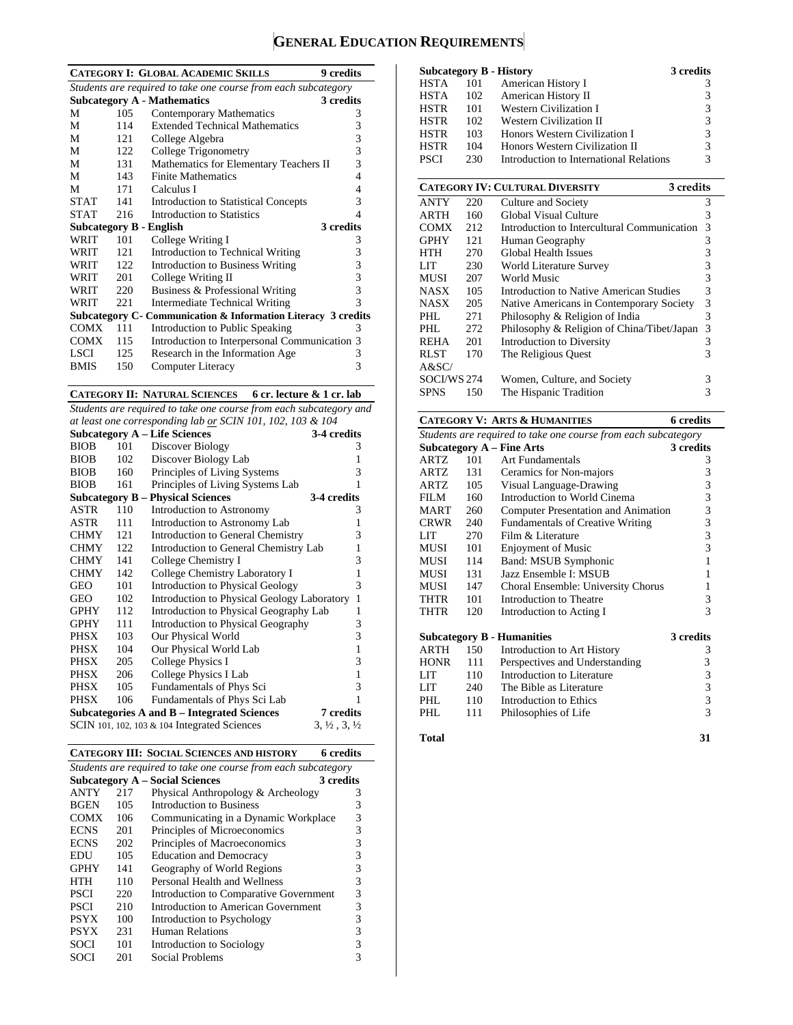# **GENERAL EDUCATION REQUIREMENTS**

|                                                                |      | <b>CATEGORY I: GLOBAL ACADEMIC SKILLS</b>                     | 9 credits |  |  |  |  |
|----------------------------------------------------------------|------|---------------------------------------------------------------|-----------|--|--|--|--|
| Students are required to take one course from each subcategory |      |                                                               |           |  |  |  |  |
|                                                                |      | <b>Subcategory A - Mathematics</b>                            | 3 credits |  |  |  |  |
| М                                                              | 105  | Contemporary Mathematics                                      | 3         |  |  |  |  |
| M                                                              | 114  | <b>Extended Technical Mathematics</b>                         | 3         |  |  |  |  |
| M                                                              | 12.1 | College Algebra                                               | 3         |  |  |  |  |
| M                                                              | 122  | College Trigonometry                                          | 3         |  |  |  |  |
| М                                                              | 131  | Mathematics for Elementary Teachers II                        | 3         |  |  |  |  |
| М                                                              | 143  | <b>Finite Mathematics</b>                                     | 4         |  |  |  |  |
| М                                                              | 171  | Calculus I                                                    | 4         |  |  |  |  |
| STAT                                                           | 141  | <b>Introduction to Statistical Concepts</b>                   | 3         |  |  |  |  |
| <b>STAT</b>                                                    | 216  | Introduction to Statistics                                    | 4         |  |  |  |  |
|                                                                |      | <b>Subcategory B - English</b>                                | 3 credits |  |  |  |  |
| WRIT                                                           | 101  | College Writing I                                             | 3         |  |  |  |  |
| WRIT                                                           | 121  | Introduction to Technical Writing                             | 3         |  |  |  |  |
| WRIT                                                           | 122. | Introduction to Business Writing                              | 3         |  |  |  |  |
| WRIT                                                           | 201  | College Writing II                                            | 3         |  |  |  |  |
| WRIT                                                           | 220  | Business & Professional Writing                               | 3         |  |  |  |  |
| WRIT                                                           | 221  | <b>Intermediate Technical Writing</b>                         | 3         |  |  |  |  |
|                                                                |      | Subcategory C- Communication & Information Literacy 3 credits |           |  |  |  |  |
| <b>COMX</b>                                                    | 111  | Introduction to Public Speaking                               | 3         |  |  |  |  |
| COMX                                                           | 115  | Introduction to Interpersonal Communication                   | 3         |  |  |  |  |
| <b>LSCI</b>                                                    | 125  | Research in the Information Age                               | 3         |  |  |  |  |
| <b>BMIS</b>                                                    | 150  | Computer Literacy                                             | 3         |  |  |  |  |
|                                                                |      |                                                               |           |  |  |  |  |

**CATEGORY II: NATURAL SCIENCES 6 cr. lecture & 1 cr. lab** 

*Students are required to take one course from each subcategory and* 

| at least one corresponding lab or SCIN 101, 102, 103 $&$ 104 |     |                                                |                                  |  |  |  |  |
|--------------------------------------------------------------|-----|------------------------------------------------|----------------------------------|--|--|--|--|
| <b>Subcategory A - Life Sciences</b><br>3-4 credits          |     |                                                |                                  |  |  |  |  |
| <b>BIOB</b>                                                  | 101 | Discover Biology                               | 3                                |  |  |  |  |
| <b>BIOB</b>                                                  | 102 | Discover Biology Lab                           | 1                                |  |  |  |  |
| <b>BIOB</b>                                                  | 160 | Principles of Living Systems                   | 3                                |  |  |  |  |
| <b>BIOB</b>                                                  | 161 | Principles of Living Systems Lab               | 1                                |  |  |  |  |
|                                                              |     | <b>Subcategory B – Physical Sciences</b>       | 3-4 credits                      |  |  |  |  |
| ASTR                                                         | 110 | Introduction to Astronomy                      | 3                                |  |  |  |  |
| ASTR                                                         | 111 | Introduction to Astronomy Lab                  | 1                                |  |  |  |  |
| <b>CHMY</b>                                                  | 121 | <b>Introduction to General Chemistry</b>       | 3                                |  |  |  |  |
| <b>CHMY</b>                                                  | 122 | Introduction to General Chemistry Lab          | $\mathbf{1}$                     |  |  |  |  |
| <b>CHMY</b>                                                  | 141 | College Chemistry I                            | 3                                |  |  |  |  |
| <b>CHMY</b>                                                  | 142 | College Chemistry Laboratory I                 | $\mathbf{1}$                     |  |  |  |  |
| GEO                                                          | 101 | <b>Introduction to Physical Geology</b>        | 3                                |  |  |  |  |
| GEO                                                          | 102 | Introduction to Physical Geology Laboratory    | $\mathbf{1}$                     |  |  |  |  |
| <b>GPHY</b>                                                  | 112 | Introduction to Physical Geography Lab         | 1                                |  |  |  |  |
| <b>GPHY</b>                                                  | 111 | Introduction to Physical Geography             | 3                                |  |  |  |  |
| <b>PHSX</b>                                                  | 103 | Our Physical World                             | 3                                |  |  |  |  |
| PHSX                                                         | 104 | Our Physical World Lab                         | $\mathbf{1}$                     |  |  |  |  |
| PHSX                                                         | 205 | College Physics I                              | 3                                |  |  |  |  |
| PHSX                                                         | 206 | College Physics I Lab                          | $\mathbf{1}$                     |  |  |  |  |
| PHSX                                                         | 105 | Fundamentals of Phys Sci                       | 3                                |  |  |  |  |
| <b>PHSX</b>                                                  | 106 | Fundamentals of Phys Sci Lab                   | 1                                |  |  |  |  |
|                                                              |     | Subcategories A and B – Integrated Sciences    | 7 credits                        |  |  |  |  |
|                                                              |     | SCIN 101, 102, 103 $& 104$ Integrated Sciences | $3, \frac{1}{2}, 3, \frac{1}{2}$ |  |  |  |  |

|  | <b>CATEGORY III: SOCIAL SCIENCES AND HISTORY</b> | 6 credits |
|--|--------------------------------------------------|-----------|
|--|--------------------------------------------------|-----------|

| Students are required to take one course from each subcategory |     |                                        |   |  |  |  |  |
|----------------------------------------------------------------|-----|----------------------------------------|---|--|--|--|--|
| <b>Subcategory A – Social Sciences</b><br>3 credits            |     |                                        |   |  |  |  |  |
| <b>ANTY</b>                                                    | 217 | Physical Anthropology & Archeology     | 3 |  |  |  |  |
| <b>BGEN</b>                                                    | 105 | Introduction to Business               | 3 |  |  |  |  |
| <b>COMX</b>                                                    | 106 | Communicating in a Dynamic Workplace   | 3 |  |  |  |  |
| <b>ECNS</b>                                                    | 201 | Principles of Microeconomics           | 3 |  |  |  |  |
| <b>ECNS</b>                                                    | 202 | Principles of Macroeconomics           | 3 |  |  |  |  |
| <b>EDU</b>                                                     | 105 | <b>Education and Democracy</b>         | 3 |  |  |  |  |
| <b>GPHY</b>                                                    | 141 | Geography of World Regions             | 3 |  |  |  |  |
| HTH                                                            | 110 | Personal Health and Wellness           | 3 |  |  |  |  |
| <b>PSCI</b>                                                    | 220 | Introduction to Comparative Government | 3 |  |  |  |  |
| <b>PSCI</b>                                                    | 210 | Introduction to American Government    | 3 |  |  |  |  |
| <b>PSYX</b>                                                    | 100 | Introduction to Psychology             | 3 |  |  |  |  |
| <b>PSYX</b>                                                    | 231 | <b>Human Relations</b>                 | 3 |  |  |  |  |
| <b>SOCI</b>                                                    | 101 | Introduction to Sociology              |   |  |  |  |  |
| SOCI                                                           | 201 | Social Problems                        |   |  |  |  |  |

|      |     | Subcategory B - History                 | 3 credits |
|------|-----|-----------------------------------------|-----------|
| HSTA | 101 | American History I                      |           |
| HSTA | 102 | American History II                     | 3         |
| HSTR | 101 | <b>Western Civilization I</b>           | 3         |
| HSTR | 102 | <b>Western Civilization II</b>          | 3         |
| HSTR | 103 | Honors Western Civilization I           | 3         |
| HSTR | 104 | Honors Western Civilization II          | 3         |
| PSCI | 230 | Introduction to International Relations | 3         |
|      |     |                                         |           |

|             |     | <b>CATEGORY IV: CULTURAL DIVERSITY</b><br>3 credits |   |
|-------------|-----|-----------------------------------------------------|---|
| <b>ANTY</b> | 220 | Culture and Society                                 | 3 |
| ARTH        | 160 | Global Visual Culture                               | 3 |
| <b>COMX</b> | 212 | Introduction to Intercultural Communication         | 3 |
| <b>GPHY</b> | 121 | Human Geography                                     | 3 |
| <b>HTH</b>  | 270 | Global Health Issues                                | 3 |
| LIT         | 230 | World Literature Survey                             | 3 |
| MUSI        | 207 | World Music                                         | 3 |
| <b>NASX</b> | 105 | Introduction to Native American Studies             | 3 |
| <b>NASX</b> | 205 | Native Americans in Contemporary Society            | 3 |
| PHL         | 271 | Philosophy & Religion of India                      | 3 |
| PHL         | 272 | Philosophy & Religion of China/Tibet/Japan          | 3 |
| <b>REHA</b> | 201 | Introduction to Diversity                           | 3 |
| <b>RLST</b> | 170 | The Religious Ouest                                 | 3 |
| A&SC/       |     |                                                     |   |
| SOCI/WS 274 |     | Women, Culture, and Society                         | 3 |
| <b>SPNS</b> | 150 | The Hispanic Tradition                              | 3 |

|                                                                |     | <b>CATEGORY V: ARTS &amp; HUMANITIES</b> | <b>6</b> credits                                |  |  |  |
|----------------------------------------------------------------|-----|------------------------------------------|-------------------------------------------------|--|--|--|
| Students are required to take one course from each subcategory |     |                                          |                                                 |  |  |  |
|                                                                |     | <b>Subcategory A – Fine Arts</b>         | 3 credits                                       |  |  |  |
| ARTZ                                                           | 101 | Art Fundamentals                         | 3                                               |  |  |  |
| ARTZ.                                                          | 131 | Ceramics for Non-majors                  | 3                                               |  |  |  |
| ARTZ.                                                          | 105 | Visual Language-Drawing                  | $\begin{array}{c} 3 \\ 3 \\ 3 \end{array}$      |  |  |  |
| FILM                                                           | 160 | Introduction to World Cinema             |                                                 |  |  |  |
| <b>MART</b>                                                    | 260 | Computer Presentation and Animation      |                                                 |  |  |  |
| <b>CRWR</b>                                                    | 240 | <b>Fundamentals of Creative Writing</b>  | 3                                               |  |  |  |
| LIT                                                            | 270 | Film & Literature                        | $\overline{\mathbf{3}}$                         |  |  |  |
| MUSI                                                           | 101 | <b>Enjoyment of Music</b>                | $\overline{3}$                                  |  |  |  |
| <b>MUSI</b>                                                    | 114 | Band: MSUB Symphonic                     | $\mathbf{1}$                                    |  |  |  |
| <b>MUSI</b>                                                    | 131 | Jazz Ensemble I: MSUB                    | 1                                               |  |  |  |
| MUSI                                                           | 147 | Choral Ensemble: University Chorus       | 1                                               |  |  |  |
| THTR                                                           | 101 | Introduction to Theatre                  | 3                                               |  |  |  |
| THTR                                                           | 120 | Introduction to Acting I                 | $\overline{\mathcal{E}}$                        |  |  |  |
|                                                                |     | <b>Subcategory B - Humanities</b>        | 3 credits                                       |  |  |  |
| ARTH                                                           | 150 | Introduction to Art History              | 3                                               |  |  |  |
| <b>HONR</b>                                                    | 111 | Perspectives and Understanding           |                                                 |  |  |  |
| LIT                                                            | 110 | Introduction to Literature               |                                                 |  |  |  |
| LIT                                                            | 240 | The Bible as Literature                  | $\begin{array}{c} 3 \\ 3 \\ 3 \\ 3 \end{array}$ |  |  |  |
| PHI.                                                           | 110 | Introduction to Ethics                   |                                                 |  |  |  |
| PHI.                                                           | 111 | Philosophies of Life                     | $\overline{3}$                                  |  |  |  |
| Total                                                          |     |                                          | 31                                              |  |  |  |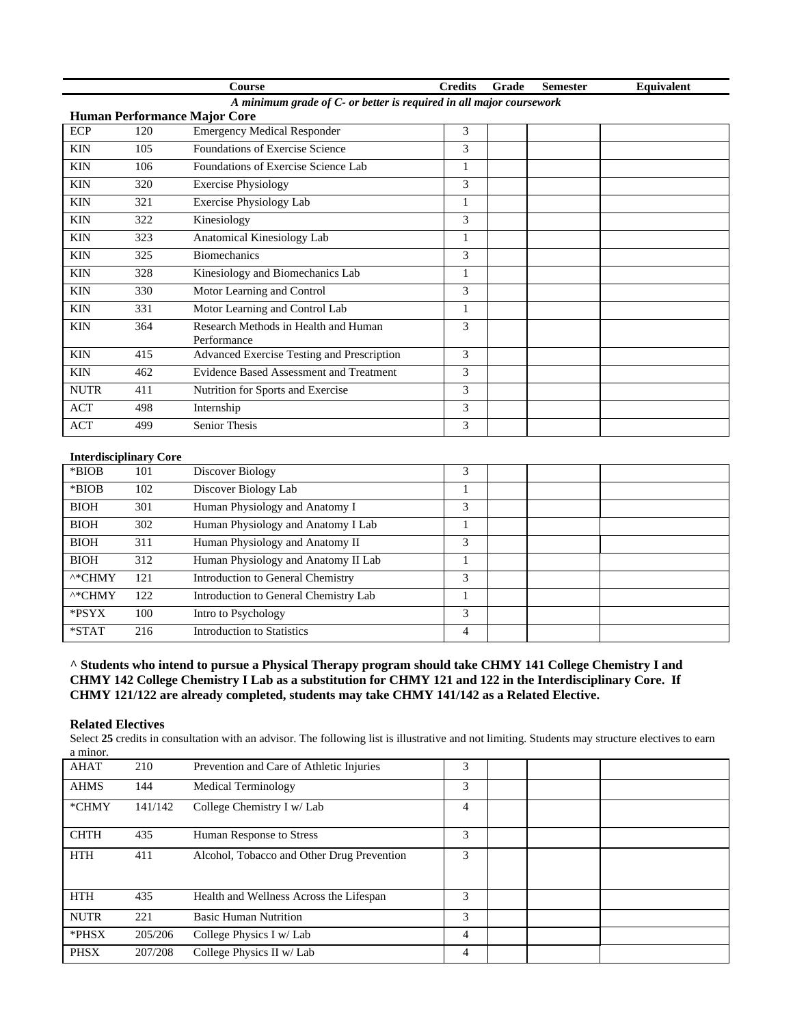|                                                                     |     | Course                                              | <b>Credits</b> | Grade | <b>Semester</b> | Equivalent |  |  |
|---------------------------------------------------------------------|-----|-----------------------------------------------------|----------------|-------|-----------------|------------|--|--|
| A minimum grade of C- or better is required in all major coursework |     |                                                     |                |       |                 |            |  |  |
| <b>Human Performance Major Core</b>                                 |     |                                                     |                |       |                 |            |  |  |
| <b>ECP</b>                                                          | 120 | <b>Emergency Medical Responder</b>                  | 3              |       |                 |            |  |  |
| <b>KIN</b>                                                          | 105 | <b>Foundations of Exercise Science</b>              | 3              |       |                 |            |  |  |
| <b>KIN</b>                                                          | 106 | Foundations of Exercise Science Lab                 |                |       |                 |            |  |  |
| <b>KIN</b>                                                          | 320 | <b>Exercise Physiology</b>                          | 3              |       |                 |            |  |  |
| <b>KIN</b>                                                          | 321 | Exercise Physiology Lab                             | 1              |       |                 |            |  |  |
| <b>KIN</b>                                                          | 322 | Kinesiology                                         | 3              |       |                 |            |  |  |
| <b>KIN</b>                                                          | 323 | Anatomical Kinesiology Lab                          | 1              |       |                 |            |  |  |
| <b>KIN</b>                                                          | 325 | <b>Biomechanics</b>                                 | 3              |       |                 |            |  |  |
| <b>KIN</b>                                                          | 328 | Kinesiology and Biomechanics Lab                    |                |       |                 |            |  |  |
| <b>KIN</b>                                                          | 330 | Motor Learning and Control                          | 3              |       |                 |            |  |  |
| <b>KIN</b>                                                          | 331 | Motor Learning and Control Lab                      | 1              |       |                 |            |  |  |
| <b>KIN</b>                                                          | 364 | Research Methods in Health and Human<br>Performance | 3              |       |                 |            |  |  |
| <b>KIN</b>                                                          | 415 | Advanced Exercise Testing and Prescription          | 3              |       |                 |            |  |  |
| <b>KIN</b>                                                          | 462 | Evidence Based Assessment and Treatment             | 3              |       |                 |            |  |  |
| <b>NUTR</b>                                                         | 411 | Nutrition for Sports and Exercise                   | 3              |       |                 |            |  |  |
| <b>ACT</b>                                                          | 498 | Internship                                          | 3              |       |                 |            |  |  |
| <b>ACT</b>                                                          | 499 | <b>Senior Thesis</b>                                | 3              |       |                 |            |  |  |

#### **Interdisciplinary Core**

| *BIOB              | 101 | Discover Biology                      | 3 |  |  |
|--------------------|-----|---------------------------------------|---|--|--|
| *BIOB              | 102 | Discover Biology Lab                  |   |  |  |
| <b>BIOH</b>        | 301 | Human Physiology and Anatomy I        | 3 |  |  |
| <b>BIOH</b>        | 302 | Human Physiology and Anatomy I Lab    |   |  |  |
| <b>BIOH</b>        | 311 | Human Physiology and Anatomy II       | 3 |  |  |
| <b>BIOH</b>        | 312 | Human Physiology and Anatomy II Lab   |   |  |  |
| $^{\wedge *}$ CHMY | 121 | Introduction to General Chemistry     | 3 |  |  |
| $^{\wedge *}$ CHMY | 122 | Introduction to General Chemistry Lab |   |  |  |
| *PSYX              | 100 | Intro to Psychology                   | 3 |  |  |
| $*STAT$            | 216 | Introduction to Statistics            | 4 |  |  |

**^ Students who intend to pursue a Physical Therapy program should take CHMY 141 College Chemistry I and CHMY 142 College Chemistry I Lab as a substitution for CHMY 121 and 122 in the Interdisciplinary Core. If CHMY 121/122 are already completed, students may take CHMY 141/142 as a Related Elective.** 

### **Related Electives**

Select 25 credits in consultation with an advisor. The following list is illustrative and not limiting. Students may structure electives to earn a minor. 

| а пшил.     |         |                                            |   |  |
|-------------|---------|--------------------------------------------|---|--|
| <b>AHAT</b> | 210     | Prevention and Care of Athletic Injuries   | 3 |  |
| <b>AHMS</b> | 144     | <b>Medical Terminology</b>                 | 3 |  |
| *CHMY       | 141/142 | College Chemistry I w/ Lab                 | 4 |  |
| <b>CHTH</b> | 435     | Human Response to Stress                   | 3 |  |
| <b>HTH</b>  | 411     | Alcohol, Tobacco and Other Drug Prevention | 3 |  |
| <b>HTH</b>  | 435     | Health and Wellness Across the Lifespan    | 3 |  |
| <b>NUTR</b> | 221     | <b>Basic Human Nutrition</b>               | 3 |  |
| *PHSX       | 205/206 | College Physics I w/ Lab                   | 4 |  |
| <b>PHSX</b> | 207/208 | College Physics II w/ Lab                  | 4 |  |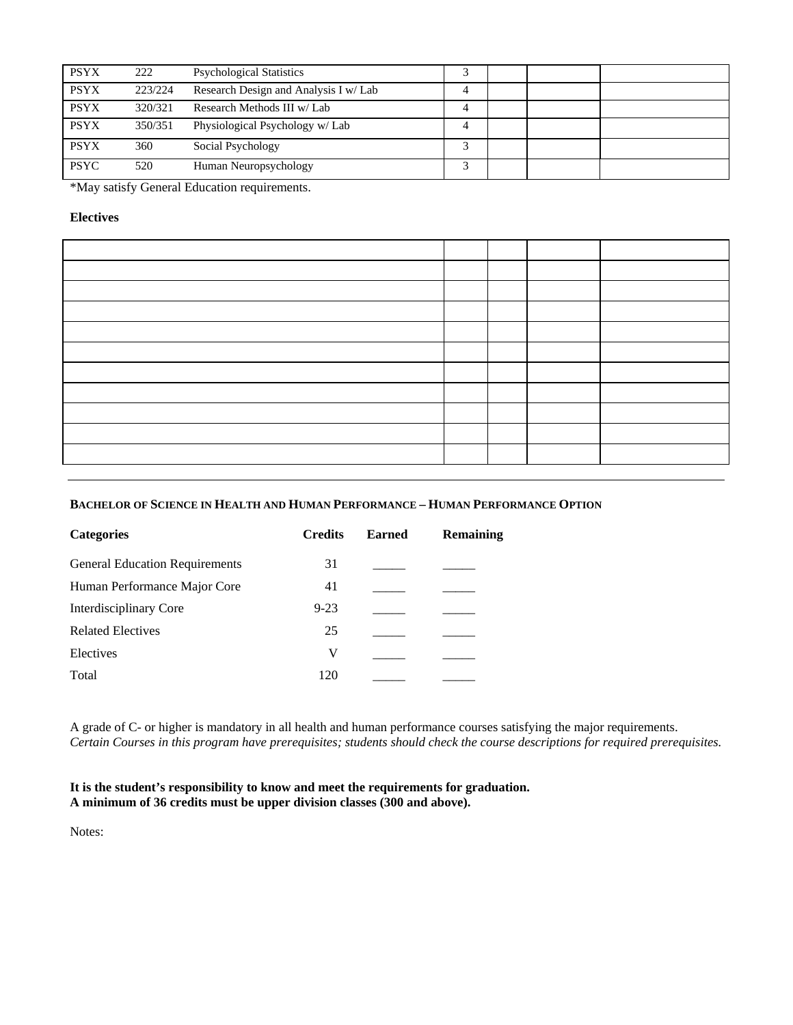| <b>PSYX</b> | 222     | <b>Psychological Statistics</b>       |  |  |
|-------------|---------|---------------------------------------|--|--|
| <b>PSYX</b> | 223/224 | Research Design and Analysis I w/ Lab |  |  |
| <b>PSYX</b> | 320/321 | Research Methods III w/Lab            |  |  |
| <b>PSYX</b> | 350/351 | Physiological Psychology w/ Lab       |  |  |
| <b>PSYX</b> | 360     | Social Psychology                     |  |  |
| <b>PSYC</b> | 520     | Human Neuropsychology                 |  |  |

\*May satisfy General Education requirements.

# **Electives**

# **BACHELOR OF SCIENCE IN HEALTH AND HUMAN PERFORMANCE – HUMAN PERFORMANCE OPTION**

| <b>Categories</b>                     | <b>Credits</b> | <b>Earned</b> | <b>Remaining</b> |
|---------------------------------------|----------------|---------------|------------------|
| <b>General Education Requirements</b> | 31             |               |                  |
| Human Performance Major Core          | 41             |               |                  |
| Interdisciplinary Core                | $9 - 23$       |               |                  |
| <b>Related Electives</b>              | 25             |               |                  |
| Electives                             | V              |               |                  |
| Total                                 | 120            |               |                  |
|                                       |                |               |                  |

A grade of C- or higher is mandatory in all health and human performance courses satisfying the major requirements. *Certain Courses in this program have prerequisites; students should check the course descriptions for required prerequisites.* 

# **It is the student's responsibility to know and meet the requirements for graduation. A minimum of 36 credits must be upper division classes (300 and above).**

Notes: